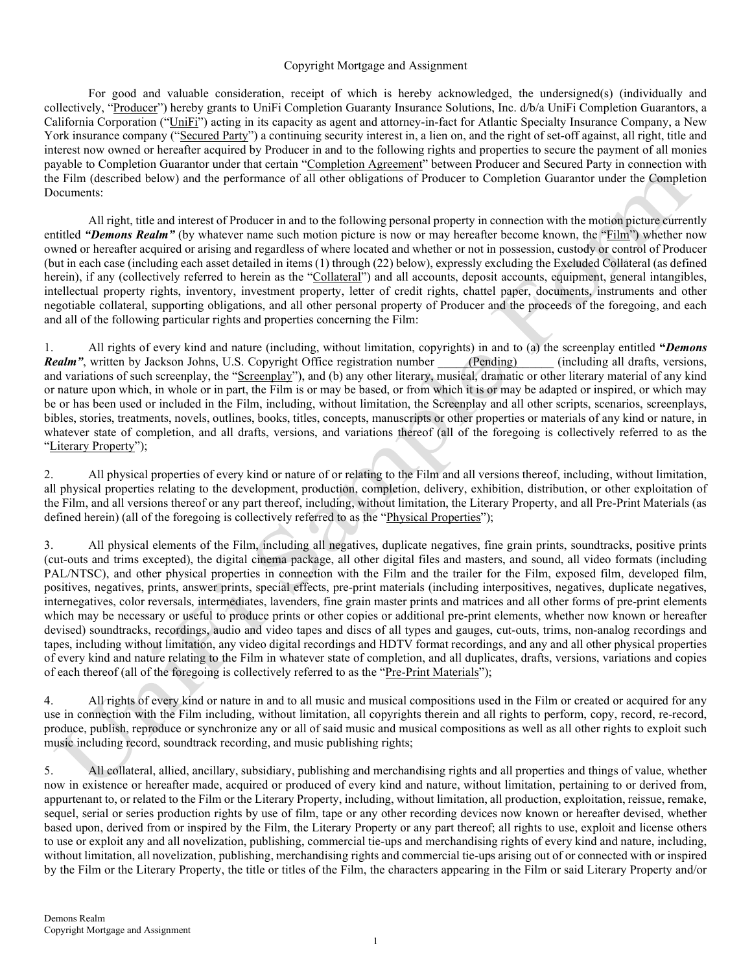## Copyright Mortgage and Assignment

 For good and valuable consideration, receipt of which is hereby acknowledged, the undersigned(s) (individually and collectively, "Producer") hereby grants to UniFi Completion Guaranty Insurance Solutions, Inc. d/b/a UniFi Completion Guarantors, a California Corporation ("UniFi") acting in its capacity as agent and attorney-in-fact for Atlantic Specialty Insurance Company, a New York insurance company ("Secured Party") a continuing security interest in, a lien on, and the right of set-off against, all right, title and interest now owned or hereafter acquired by Producer in and to the following rights and properties to secure the payment of all monies payable to Completion Guarantor under that certain "Completion Agreement" between Producer and Secured Party in connection with the Film (described below) and the performance of all other obligations of Producer to Completion Guarantor under the Completion Documents:

 All right, title and interest of Producer in and to the following personal property in connection with the motion picture currently entitled "Demons Realm" (by whatever name such motion picture is now or may hereafter become known, the "Film") whether now owned or hereafter acquired or arising and regardless of where located and whether or not in possession, custody or control of Producer (but in each case (including each asset detailed in items (1) through (22) below), expressly excluding the Excluded Collateral (as defined herein), if any (collectively referred to herein as the "Collateral") and all accounts, deposit accounts, equipment, general intangibles, intellectual property rights, inventory, investment property, letter of credit rights, chattel paper, documents, instruments and other negotiable collateral, supporting obligations, and all other personal property of Producer and the proceeds of the foregoing, and each and all of the following particular rights and properties concerning the Film:

1. All rights of every kind and nature (including, without limitation, copyrights) in and to (a) the screenplay entitled "Demons" Realm", written by Jackson Johns, U.S. Copyright Office registration number (Pending) (including all drafts, versions, and variations of such screenplay, the "Screenplay"), and (b) any other literary, musical, dramatic or other literary material of any kind or nature upon which, in whole or in part, the Film is or may be based, or from which it is or may be adapted or inspired, or which may be or has been used or included in the Film, including, without limitation, the Screenplay and all other scripts, scenarios, screenplays, bibles, stories, treatments, novels, outlines, books, titles, concepts, manuscripts or other properties or materials of any kind or nature, in whatever state of completion, and all drafts, versions, and variations thereof (all of the foregoing is collectively referred to as the "Literary Property");

2. All physical properties of every kind or nature of or relating to the Film and all versions thereof, including, without limitation, all physical properties relating to the development, production, completion, delivery, exhibition, distribution, or other exploitation of the Film, and all versions thereof or any part thereof, including, without limitation, the Literary Property, and all Pre-Print Materials (as defined herein) (all of the foregoing is collectively referred to as the "Physical Properties");

3. All physical elements of the Film, including all negatives, duplicate negatives, fine grain prints, soundtracks, positive prints (cut-outs and trims excepted), the digital cinema package, all other digital files and masters, and sound, all video formats (including PAL/NTSC), and other physical properties in connection with the Film and the trailer for the Film, exposed film, developed film, positives, negatives, prints, answer prints, special effects, pre-print materials (including interpositives, negatives, duplicate negatives, internegatives, color reversals, intermediates, lavenders, fine grain master prints and matrices and all other forms of pre-print elements which may be necessary or useful to produce prints or other copies or additional pre-print elements, whether now known or hereafter devised) soundtracks, recordings, audio and video tapes and discs of all types and gauges, cut-outs, trims, non-analog recordings and tapes, including without limitation, any video digital recordings and HDTV format recordings, and any and all other physical properties of every kind and nature relating to the Film in whatever state of completion, and all duplicates, drafts, versions, variations and copies of each thereof (all of the foregoing is collectively referred to as the "Pre-Print Materials");

4. All rights of every kind or nature in and to all music and musical compositions used in the Film or created or acquired for any use in connection with the Film including, without limitation, all copyrights therein and all rights to perform, copy, record, re-record, produce, publish, reproduce or synchronize any or all of said music and musical compositions as well as all other rights to exploit such music including record, soundtrack recording, and music publishing rights;

5. All collateral, allied, ancillary, subsidiary, publishing and merchandising rights and all properties and things of value, whether now in existence or hereafter made, acquired or produced of every kind and nature, without limitation, pertaining to or derived from, appurtenant to, or related to the Film or the Literary Property, including, without limitation, all production, exploitation, reissue, remake, sequel, serial or series production rights by use of film, tape or any other recording devices now known or hereafter devised, whether based upon, derived from or inspired by the Film, the Literary Property or any part thereof; all rights to use, exploit and license others to use or exploit any and all novelization, publishing, commercial tie-ups and merchandising rights of every kind and nature, including, without limitation, all novelization, publishing, merchandising rights and commercial tie-ups arising out of or connected with or inspired by the Film or the Literary Property, the title or titles of the Film, the characters appearing in the Film or said Literary Property and/or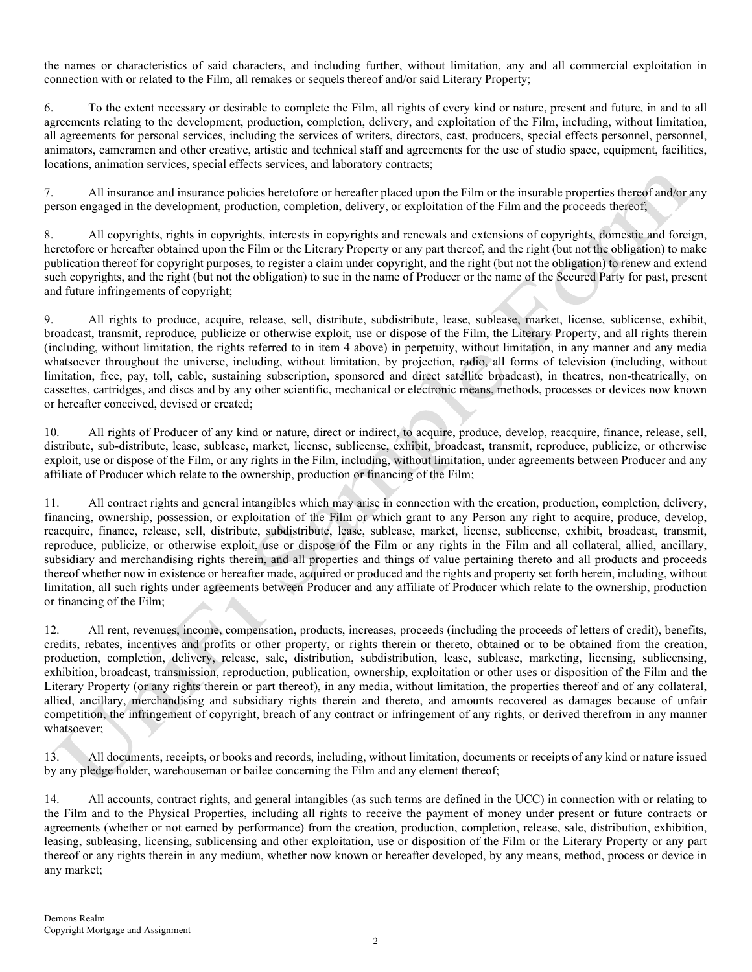the names or characteristics of said characters, and including further, without limitation, any and all commercial exploitation in connection with or related to the Film, all remakes or sequels thereof and/or said Literary Property;

6. To the extent necessary or desirable to complete the Film, all rights of every kind or nature, present and future, in and to all agreements relating to the development, production, completion, delivery, and exploitation of the Film, including, without limitation, all agreements for personal services, including the services of writers, directors, cast, producers, special effects personnel, personnel, animators, cameramen and other creative, artistic and technical staff and agreements for the use of studio space, equipment, facilities, locations, animation services, special effects services, and laboratory contracts;

7. All insurance and insurance policies heretofore or hereafter placed upon the Film or the insurable properties thereof and/or any person engaged in the development, production, completion, delivery, or exploitation of the Film and the proceeds thereof;

8. All copyrights, rights in copyrights, interests in copyrights and renewals and extensions of copyrights, domestic and foreign, heretofore or hereafter obtained upon the Film or the Literary Property or any part thereof, and the right (but not the obligation) to make publication thereof for copyright purposes, to register a claim under copyright, and the right (but not the obligation) to renew and extend such copyrights, and the right (but not the obligation) to sue in the name of Producer or the name of the Secured Party for past, present and future infringements of copyright;

9. All rights to produce, acquire, release, sell, distribute, subdistribute, lease, sublease, market, license, sublicense, exhibit, broadcast, transmit, reproduce, publicize or otherwise exploit, use or dispose of the Film, the Literary Property, and all rights therein (including, without limitation, the rights referred to in item 4 above) in perpetuity, without limitation, in any manner and any media whatsoever throughout the universe, including, without limitation, by projection, radio, all forms of television (including, without limitation, free, pay, toll, cable, sustaining subscription, sponsored and direct satellite broadcast), in theatres, non-theatrically, on cassettes, cartridges, and discs and by any other scientific, mechanical or electronic means, methods, processes or devices now known or hereafter conceived, devised or created;

10. All rights of Producer of any kind or nature, direct or indirect, to acquire, produce, develop, reacquire, finance, release, sell, distribute, sub-distribute, lease, sublease, market, license, sublicense, exhibit, broadcast, transmit, reproduce, publicize, or otherwise exploit, use or dispose of the Film, or any rights in the Film, including, without limitation, under agreements between Producer and any affiliate of Producer which relate to the ownership, production or financing of the Film;

11. All contract rights and general intangibles which may arise in connection with the creation, production, completion, delivery, financing, ownership, possession, or exploitation of the Film or which grant to any Person any right to acquire, produce, develop, reacquire, finance, release, sell, distribute, subdistribute, lease, sublease, market, license, sublicense, exhibit, broadcast, transmit, reproduce, publicize, or otherwise exploit, use or dispose of the Film or any rights in the Film and all collateral, allied, ancillary, subsidiary and merchandising rights therein, and all properties and things of value pertaining thereto and all products and proceeds thereof whether now in existence or hereafter made, acquired or produced and the rights and property set forth herein, including, without limitation, all such rights under agreements between Producer and any affiliate of Producer which relate to the ownership, production or financing of the Film;

12. All rent, revenues, income, compensation, products, increases, proceeds (including the proceeds of letters of credit), benefits, credits, rebates, incentives and profits or other property, or rights therein or thereto, obtained or to be obtained from the creation, production, completion, delivery, release, sale, distribution, subdistribution, lease, sublease, marketing, licensing, sublicensing, exhibition, broadcast, transmission, reproduction, publication, ownership, exploitation or other uses or disposition of the Film and the Literary Property (or any rights therein or part thereof), in any media, without limitation, the properties thereof and of any collateral, allied, ancillary, merchandising and subsidiary rights therein and thereto, and amounts recovered as damages because of unfair competition, the infringement of copyright, breach of any contract or infringement of any rights, or derived therefrom in any manner whatsoever;

13. All documents, receipts, or books and records, including, without limitation, documents or receipts of any kind or nature issued by any pledge holder, warehouseman or bailee concerning the Film and any element thereof;

14. All accounts, contract rights, and general intangibles (as such terms are defined in the UCC) in connection with or relating to the Film and to the Physical Properties, including all rights to receive the payment of money under present or future contracts or agreements (whether or not earned by performance) from the creation, production, completion, release, sale, distribution, exhibition, leasing, subleasing, licensing, sublicensing and other exploitation, use or disposition of the Film or the Literary Property or any part thereof or any rights therein in any medium, whether now known or hereafter developed, by any means, method, process or device in any market;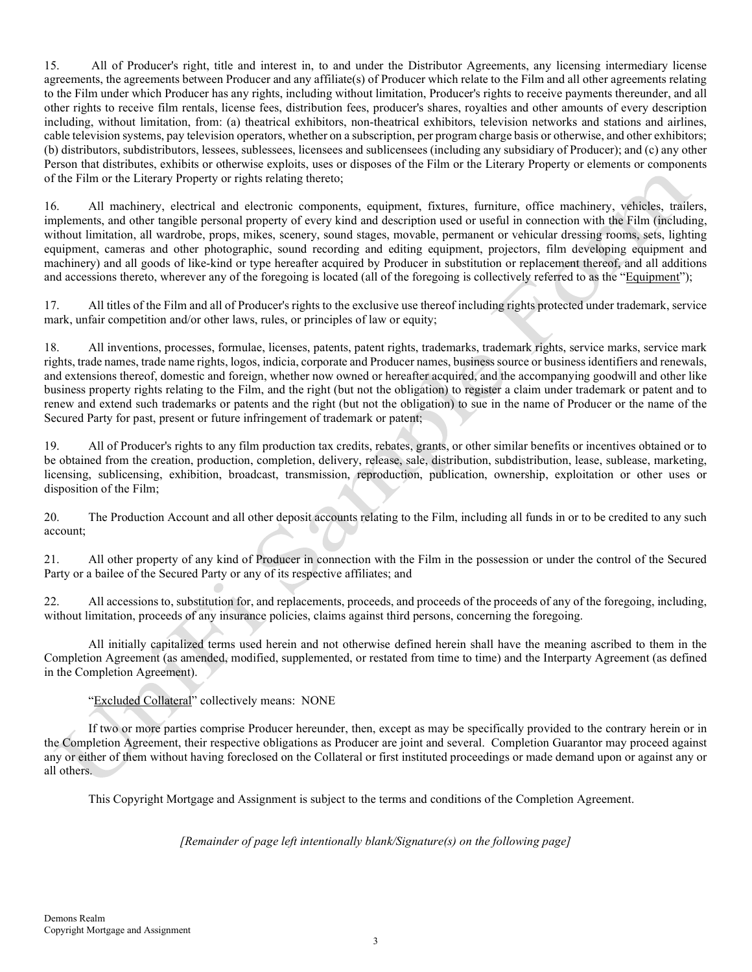15. All of Producer's right, title and interest in, to and under the Distributor Agreements, any licensing intermediary license agreements, the agreements between Producer and any affiliate(s) of Producer which relate to the Film and all other agreements relating to the Film under which Producer has any rights, including without limitation, Producer's rights to receive payments thereunder, and all other rights to receive film rentals, license fees, distribution fees, producer's shares, royalties and other amounts of every description including, without limitation, from: (a) theatrical exhibitors, non-theatrical exhibitors, television networks and stations and airlines, cable television systems, pay television operators, whether on a subscription, per program charge basis or otherwise, and other exhibitors; (b) distributors, subdistributors, lessees, sublessees, licensees and sublicensees (including any subsidiary of Producer); and (c) any other Person that distributes, exhibits or otherwise exploits, uses or disposes of the Film or the Literary Property or elements or components of the Film or the Literary Property or rights relating thereto;

16. All machinery, electrical and electronic components, equipment, fixtures, furniture, office machinery, vehicles, trailers, implements, and other tangible personal property of every kind and description used or useful in connection with the Film (including, without limitation, all wardrobe, props, mikes, scenery, sound stages, movable, permanent or vehicular dressing rooms, sets, lighting equipment, cameras and other photographic, sound recording and editing equipment, projectors, film developing equipment and machinery) and all goods of like-kind or type hereafter acquired by Producer in substitution or replacement thereof, and all additions and accessions thereto, wherever any of the foregoing is located (all of the foregoing is collectively referred to as the "Equipment");

17. All titles of the Film and all of Producer's rights to the exclusive use thereof including rights protected under trademark, service mark, unfair competition and/or other laws, rules, or principles of law or equity;

18. All inventions, processes, formulae, licenses, patents, patent rights, trademarks, trademark rights, service marks, service mark rights, trade names, trade name rights, logos, indicia, corporate and Producer names, business source or business identifiers and renewals, and extensions thereof, domestic and foreign, whether now owned or hereafter acquired, and the accompanying goodwill and other like business property rights relating to the Film, and the right (but not the obligation) to register a claim under trademark or patent and to renew and extend such trademarks or patents and the right (but not the obligation) to sue in the name of Producer or the name of the Secured Party for past, present or future infringement of trademark or patent;

19. All of Producer's rights to any film production tax credits, rebates, grants, or other similar benefits or incentives obtained or to be obtained from the creation, production, completion, delivery, release, sale, distribution, subdistribution, lease, sublease, marketing, licensing, sublicensing, exhibition, broadcast, transmission, reproduction, publication, ownership, exploitation or other uses or disposition of the Film;

20. The Production Account and all other deposit accounts relating to the Film, including all funds in or to be credited to any such account;

21. All other property of any kind of Producer in connection with the Film in the possession or under the control of the Secured Party or a bailee of the Secured Party or any of its respective affiliates; and

22. All accessions to, substitution for, and replacements, proceeds, and proceeds of the proceeds of any of the foregoing, including, without limitation, proceeds of any insurance policies, claims against third persons, concerning the foregoing.

All initially capitalized terms used herein and not otherwise defined herein shall have the meaning ascribed to them in the Completion Agreement (as amended, modified, supplemented, or restated from time to time) and the Interparty Agreement (as defined in the Completion Agreement).

"Excluded Collateral" collectively means: NONE

 If two or more parties comprise Producer hereunder, then, except as may be specifically provided to the contrary herein or in the Completion Agreement, their respective obligations as Producer are joint and several. Completion Guarantor may proceed against any or either of them without having foreclosed on the Collateral or first instituted proceedings or made demand upon or against any or all others.

This Copyright Mortgage and Assignment is subject to the terms and conditions of the Completion Agreement.

[Remainder of page left intentionally blank/Signature(s) on the following page]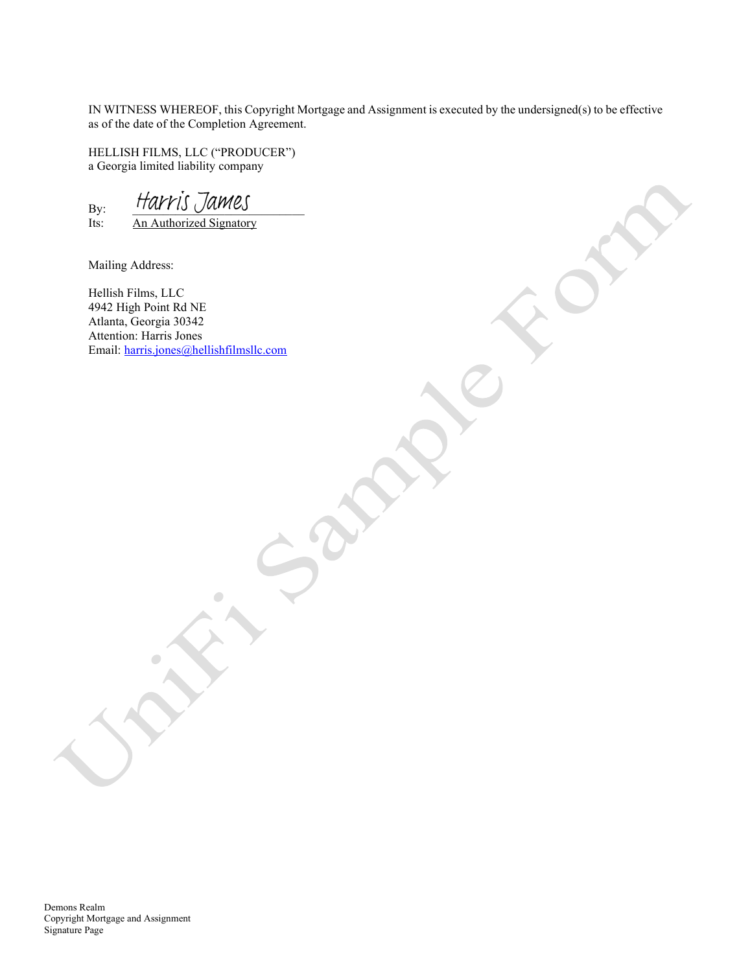IN WITNESS WHEREOF, this Copyright Mortgage and Assignment is executed by the undersigned(s) to be effective as of the date of the Completion Agreement.

HELLISH FILMS, LLC ("PRODUCER") a Georgia limited liability company

 $B_y$ :  $\frac{Harrow}{An$  Authorized Signator An Authorized Signatory

Mailing Address:

Hellish Films, LLC 4942 High Point Rd NE Atlanta, Georgia 30342 Attention: Harris Jones Email: harris.jones@hellishfilmsllc.com

O